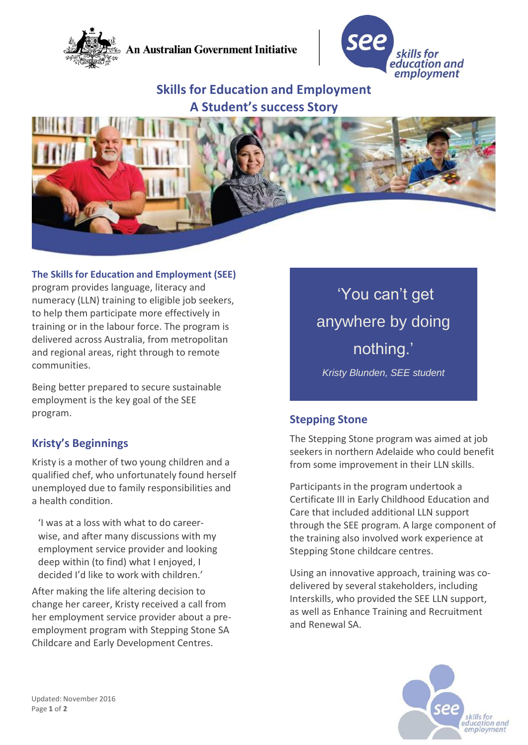

**An Australian Government Initiative** 



# **Skills for Education and Employment A Student's success Story**



#### **The Skills for Education and Employment (SEE)**

program provides language, literacy and numeracy (LLN) training to eligible job seekers, to help them participate more effectively in training or in the labour force. The program is delivered across Australia, from metropolitan and regional areas, right through to remote communities.

Being better prepared to secure sustainable employment is the key goal of the SEE program.

### **Kristy's Beginnings**

Kristy is a mother of two young children and a qualified chef, who unfortunately found herself unemployed due to family responsibilities and a health condition.

'I was at a loss with what to do careerwise, and after many discussions with my employment service provider and looking deep within (to find) what I enjoyed, I decided I'd like to work with children.'

After making the life altering decision to change her career, Kristy received a call from her employment service provider about a preemployment program with Stepping Stone SA Childcare and Early Development Centres.

'You can't get anywhere by doing nothing.' *Kristy Blunden, SEE student*

#### **Stepping Stone**

The Stepping Stone program was aimed at job seekers in northern Adelaide who could benefit from some improvement in their LLN skills.

Participants in the program undertook a Certificate III in Early Childhood Education and Care that included additional LLN support through the SEE program. A large component of the training also involved work experience at Stepping Stone childcare centres.

Using an innovative approach, training was codelivered by several stakeholders, including Interskills, who provided the SEE LLN support, as well as Enhance Training and Recruitment and Renewal SA.